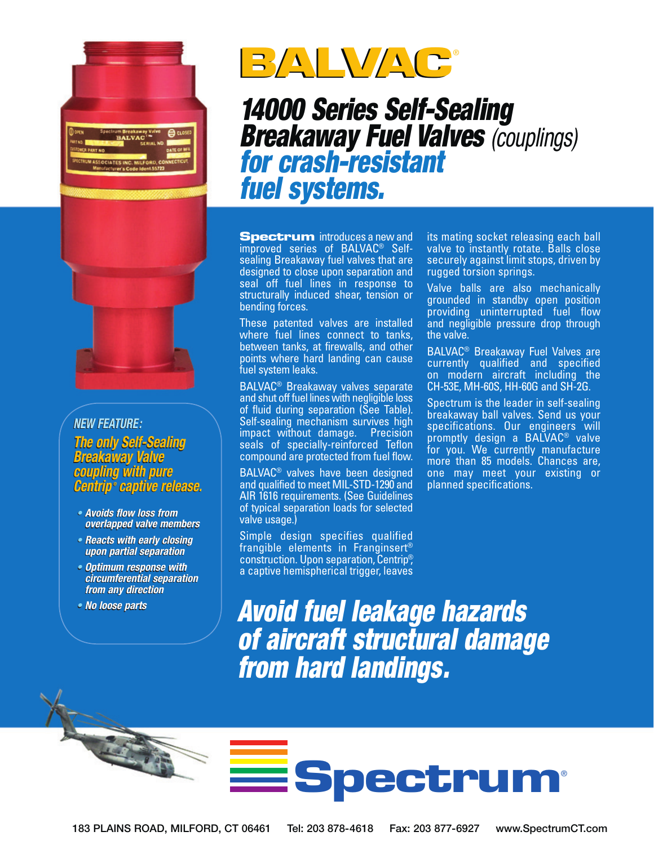

#### *New Feature: New Feature:*

*The only Self-Sealing The only Self-Sealing Breakaway Valve Breakaway Valve coupling with pure coupling with pure Centrip ® captive release. Centrip® captive release.• Avoids flow loss from* 

- *Avoids flow loss from overlapped valve members overlapped members*
- *Reacts with early closing Reacts with closing upon partial separation upon partial separation*
- *Optimum response with Optimum response with circumferential separation circumferential separation from any direction from any direction*
- *No loose parts No loose parts*

**CONTRACTOR** 



# *14000 Series Self-Sealing Breakaway Fuel Valves (couplings) for crash-resistant fuel systems.*

**Spectrum** introduces a new and improved series of BALVAC® Selfsealing Breakaway fuel valves that are designed to close upon separation and seal off fuel lines in response to structurally induced shear, tension or bending forces.

These patented valves are installed where fuel lines connect to tanks, between tanks, at firewalls, and other points where hard landing can cause fuel system leaks.

BALVAC® Breakaway valves separate and shut off fuel lines with negligible loss of fluid during separation (See Table). Self-sealing mechanism survives high impact without damage. Precision seals of specially-reinforced Teflon compound are protected from fuel flow.

BALVAC® valves have been designed and qualified to meet MIL-STD-1290 and AIR 1616 requirements. (See Guidelines of typical separation loads for selected valve usage.)

Simple design specifies qualified frangible elements in Franginsert® construction. Upon separation, Centrip®, a captive hemispherical trigger, leaves its mating socket releasing each ball valve to instantly rotate. Balls close securely against limit stops, driven by rugged torsion springs.

Valve balls are also mechanically grounded in standby open position providing uninterrupted fuel flow and negligible pressure drop through the valve.

BALVAC® Breakaway Fuel Valves are currently qualified and specified on modern aircraft including the CH-53E, MH-60S, HH-60G and SH-2G.

Spectrum is the leader in self-sealing breakaway ball valves. Send us your specifications. Our engineers will promptly design a BALVAC® valve for you. We currently manufacture more than 85 models. Chances are, one may meet your existing or planned specifications.

*Avoid fuel leakage hazards of aircraft structural damage from hard landings.*